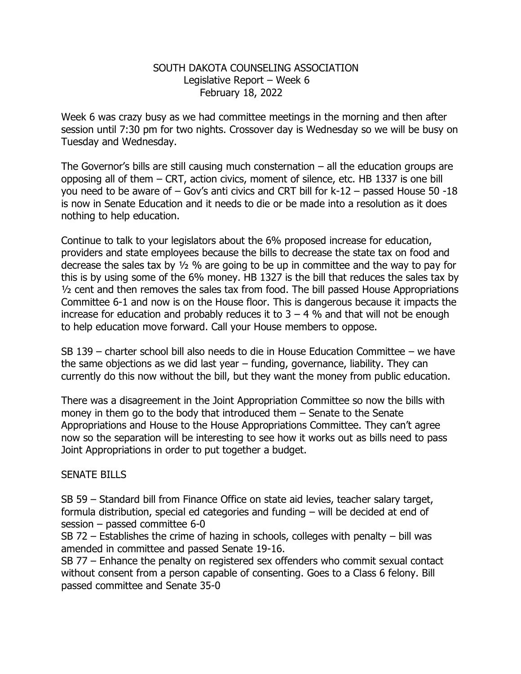## SOUTH DAKOTA COUNSELING ASSOCIATION Legislative Report – Week 6 February 18, 2022

Week 6 was crazy busy as we had committee meetings in the morning and then after session until 7:30 pm for two nights. Crossover day is Wednesday so we will be busy on Tuesday and Wednesday.

The Governor's bills are still causing much consternation  $-$  all the education groups are opposing all of them – CRT, action civics, moment of silence, etc. HB 1337 is one bill you need to be aware of – Gov's anti civics and CRT bill for k-12 – passed House 50 -18 is now in Senate Education and it needs to die or be made into a resolution as it does nothing to help education.

Continue to talk to your legislators about the 6% proposed increase for education, providers and state employees because the bills to decrease the state tax on food and decrease the sales tax by ½ % are going to be up in committee and the way to pay for this is by using some of the 6% money. HB 1327 is the bill that reduces the sales tax by ½ cent and then removes the sales tax from food. The bill passed House Appropriations Committee 6-1 and now is on the House floor. This is dangerous because it impacts the increase for education and probably reduces it to  $3 - 4$  % and that will not be enough to help education move forward. Call your House members to oppose.

SB 139 – charter school bill also needs to die in House Education Committee – we have the same objections as we did last year – funding, governance, liability. They can currently do this now without the bill, but they want the money from public education.

There was a disagreement in the Joint Appropriation Committee so now the bills with money in them go to the body that introduced them – Senate to the Senate Appropriations and House to the House Appropriations Committee. They can't agree now so the separation will be interesting to see how it works out as bills need to pass Joint Appropriations in order to put together a budget.

## SENATE BILLS

SB 59 – Standard bill from Finance Office on state aid levies, teacher salary target, formula distribution, special ed categories and funding – will be decided at end of session – passed committee 6-0

SB 72 – Establishes the crime of hazing in schools, colleges with penalty – bill was amended in committee and passed Senate 19-16.

SB 77 – Enhance the penalty on registered sex offenders who commit sexual contact without consent from a person capable of consenting. Goes to a Class 6 felony. Bill passed committee and Senate 35-0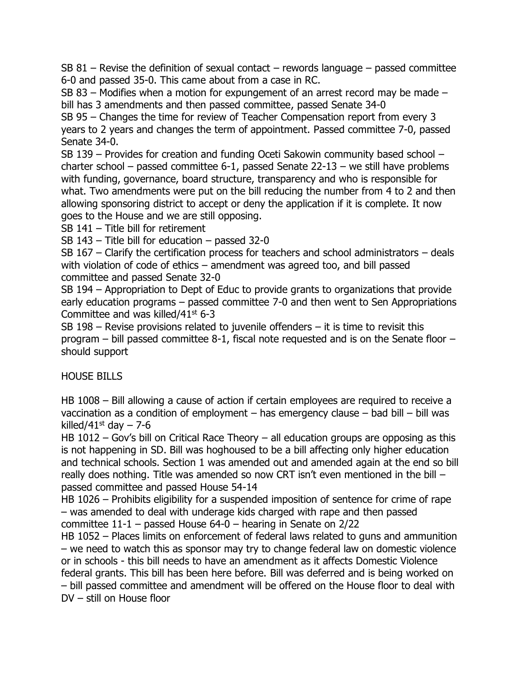SB 81 – Revise the definition of sexual contact – rewords language – passed committee 6-0 and passed 35-0. This came about from a case in RC.

SB 83 – Modifies when a motion for expungement of an arrest record may be made – bill has 3 amendments and then passed committee, passed Senate 34-0

SB 95 – Changes the time for review of Teacher Compensation report from every 3 years to 2 years and changes the term of appointment. Passed committee 7-0, passed Senate 34-0.

SB 139 – Provides for creation and funding Oceti Sakowin community based school – charter school – passed committee 6-1, passed Senate 22-13 – we still have problems with funding, governance, board structure, transparency and who is responsible for what. Two amendments were put on the bill reducing the number from 4 to 2 and then allowing sponsoring district to accept or deny the application if it is complete. It now goes to the House and we are still opposing.

SB 141 – Title bill for retirement

SB 143 – Title bill for education – passed 32-0

SB 167 – Clarify the certification process for teachers and school administrators – deals with violation of code of ethics – amendment was agreed too, and bill passed committee and passed Senate 32-0

SB 194 – Appropriation to Dept of Educ to provide grants to organizations that provide early education programs – passed committee 7-0 and then went to Sen Appropriations Committee and was killed/41st 6-3

SB 198 – Revise provisions related to juvenile offenders – it is time to revisit this program – bill passed committee 8-1, fiscal note requested and is on the Senate floor – should support

HOUSE BILLS

HB 1008 – Bill allowing a cause of action if certain employees are required to receive a vaccination as a condition of employment – has emergency clause – bad bill – bill was killed/41st day  $-7-6$ 

HB 1012 – Gov's bill on Critical Race Theory – all education groups are opposing as this is not happening in SD. Bill was hoghoused to be a bill affecting only higher education and technical schools. Section 1 was amended out and amended again at the end so bill really does nothing. Title was amended so now CRT isn't even mentioned in the bill – passed committee and passed House 54-14

HB 1026 – Prohibits eligibility for a suspended imposition of sentence for crime of rape – was amended to deal with underage kids charged with rape and then passed committee  $11-1$  – passed House  $64-0$  – hearing in Senate on 2/22

HB 1052 – Places limits on enforcement of federal laws related to guns and ammunition – we need to watch this as sponsor may try to change federal law on domestic violence or in schools - this bill needs to have an amendment as it affects Domestic Violence federal grants. This bill has been here before. Bill was deferred and is being worked on – bill passed committee and amendment will be offered on the House floor to deal with DV – still on House floor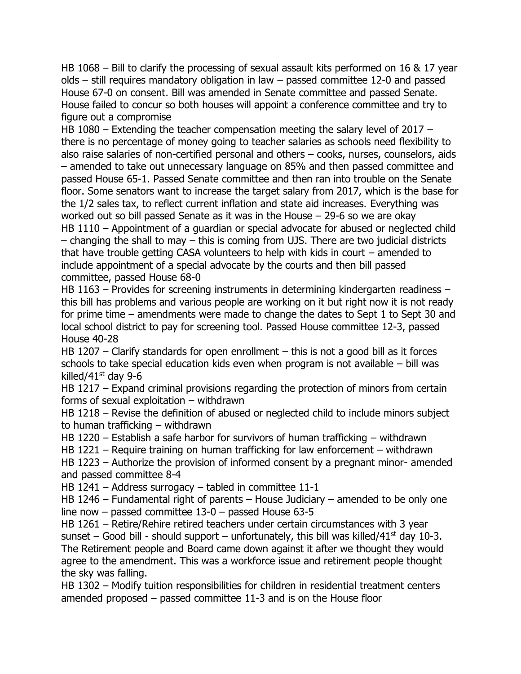HB 1068 – Bill to clarify the processing of sexual assault kits performed on 16 & 17 year olds – still requires mandatory obligation in law – passed committee 12-0 and passed House 67-0 on consent. Bill was amended in Senate committee and passed Senate. House failed to concur so both houses will appoint a conference committee and try to figure out a compromise

HB 1080 – Extending the teacher compensation meeting the salary level of 2017 – there is no percentage of money going to teacher salaries as schools need flexibility to also raise salaries of non-certified personal and others – cooks, nurses, counselors, aids – amended to take out unnecessary language on 85% and then passed committee and passed House 65-1. Passed Senate committee and then ran into trouble on the Senate floor. Some senators want to increase the target salary from 2017, which is the base for the 1/2 sales tax, to reflect current inflation and state aid increases. Everything was worked out so bill passed Senate as it was in the House – 29-6 so we are okay HB 1110 – Appointment of a quardian or special advocate for abused or neglected child – changing the shall to may – this is coming from UJS. There are two judicial districts that have trouble getting CASA volunteers to help with kids in court – amended to include appointment of a special advocate by the courts and then bill passed committee, passed House 68-0

HB 1163 – Provides for screening instruments in determining kindergarten readiness – this bill has problems and various people are working on it but right now it is not ready for prime time – amendments were made to change the dates to Sept 1 to Sept 30 and local school district to pay for screening tool. Passed House committee 12-3, passed House 40-28

HB 1207 – Clarify standards for open enrollment – this is not a good bill as it forces schools to take special education kids even when program is not available – bill was killed/ $41$ <sup>st</sup> day 9-6

HB 1217 – Expand criminal provisions regarding the protection of minors from certain forms of sexual exploitation – withdrawn

HB 1218 – Revise the definition of abused or neglected child to include minors subject to human trafficking – withdrawn

HB 1220 – Establish a safe harbor for survivors of human trafficking – withdrawn

HB 1221 – Require training on human trafficking for law enforcement – withdrawn

HB 1223 – Authorize the provision of informed consent by a pregnant minor- amended and passed committee 8-4

HB 1241 – Address surrogacy – tabled in committee 11-1

HB 1246 – Fundamental right of parents – House Judiciary – amended to be only one line now – passed committee 13-0 – passed House 63-5

HB 1261 – Retire/Rehire retired teachers under certain circumstances with 3 year sunset – Good bill - should support – unfortunately, this bill was killed/41<sup>st</sup> day 10-3. The Retirement people and Board came down against it after we thought they would agree to the amendment. This was a workforce issue and retirement people thought the sky was falling.

HB 1302 – Modify tuition responsibilities for children in residential treatment centers amended proposed – passed committee 11-3 and is on the House floor